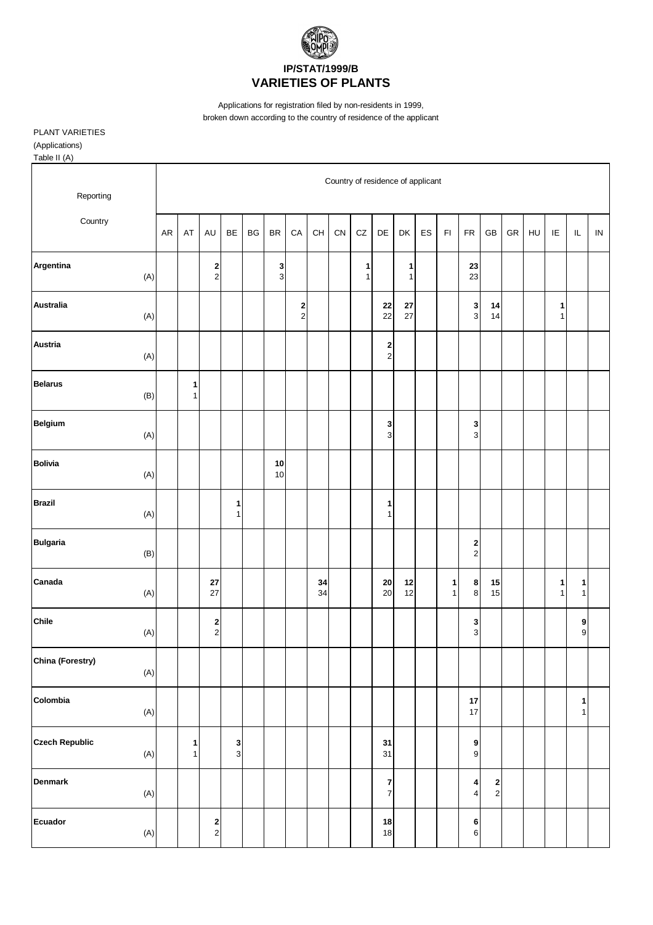

Applications for registration filed by non-residents in 1999,

broken down according to the country of residence of the applicant

PLANT VARIETIES

(Applications) Table II (A)

Country of residence of applicant Reporting **Country** AR | AT | AU | BE | BG | BR | CA | CH | CN | CZ | DE | DK | ES | FI | FR | GB | GR | HU | IE | IL | IN **Argentina 2 3 1 1 23** (A) | | 2 | | 3 | | | 1 | 1 | | 23 **Australia 2 22 27 3 14 1** (A) | | | | | | 2 | | | 22 | 27 | | | 3 | 14 | | | 1 **Austria 2** (A) 2 **Belarus 1**  $(B)$  1 **Belgium 3 3**  $(A)$  | | | | | | | | | 3| | | 3 **Bolivia 10**  $(A)$  10 **Brazil 1 1** (A) | | | 1 | | | | | | 1 **Bulgaria 2** (B) | | | | | | | | | | | | | 2 **Canada 27 34 20 12 1 8 15 1 1** (A) | | 27 | | | | | 34 | | 20 12 | | 1 | 8 | 15 | | | 1 | 1 **Chile 2 3 9** (A) | | 2 | | | | | | | | | | | 3 | | | | 9 **China (Forestry)**  $(A)$ **Colombia 17 1** (A) 17 1 **Czech Republic**<br>
(A)  $\begin{array}{|c|c|c|c|c|c|} \hline \text{1} & \text{3} & \text{3} \\ \hline \end{array}$   $\begin{array}{|c|c|c|c|c|} \hline \text{3} & \text{3} & \text{3} \\ \hline \end{array}$   $\begin{array}{|c|c|c|c|} \hline \text{3} & \text{3} & \text{3} \\ \hline \end{array}$   $\begin{array}{|c|c|c|c|} \hline \text{3} & \text{3} & \text{3} \\ \hline \end{array}$ (A) | 1 | 3 | | | | | | 31 | | 9 **Denmark 7 4 2** (A) | | | | | | | | | | 7 | | | 4 | 2 **Ecuador 2 18 6**  $(A)$  | 2 | | | | | | 18 | | 6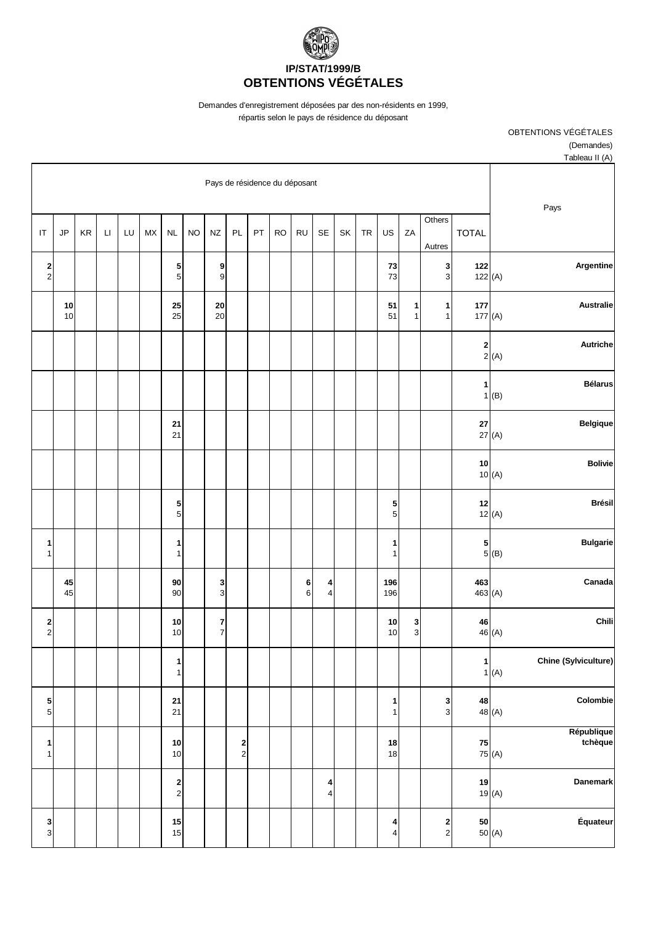

Demandes d'enregistrement déposées par des non-résidents en 1999,

répartis selon le pays de résidence du déposant

OBTENTIONS VÉGÉTALES

(Demandes)

| Tableau II (A)                                                        |                  |                                          |                   |                              |           |    |                              |            |           |    |                                       |                                |           |                                                    |           |    |              |    |          |                                |
|-----------------------------------------------------------------------|------------------|------------------------------------------|-------------------|------------------------------|-----------|----|------------------------------|------------|-----------|----|---------------------------------------|--------------------------------|-----------|----------------------------------------------------|-----------|----|--------------|----|----------|--------------------------------|
| Pays                                                                  |                  | Pays de résidence du déposant            |                   |                              |           |    |                              |            |           |    |                                       |                                |           |                                                    |           |    |              |    |          |                                |
|                                                                       | <b>TOTAL</b>     | Others<br>Autres                         | ZA                | US                           | <b>TR</b> | SK | SE                           | <b>RU</b>  | <b>RO</b> | PT | PL                                    | <b>NZ</b>                      | <b>NO</b> | $\sf NL$                                           | <b>MX</b> | LU | $\mathsf{L}$ | KR | JP       | $\mathsf{I}\mathsf{T}$         |
| Argentine                                                             | 122<br>122 $(A)$ | $\mathbf 3$<br>$\ensuremath{\mathsf{3}}$ |                   | $\bf 73$<br>73               |           |    |                              |            |           |    |                                       | 9<br>9                         |           | 5<br>5                                             |           |    |              |    |          | 2<br>$\mathbf 2$               |
| <b>Australie</b>                                                      | 177<br>177 $(A)$ | 1<br>$\mathbf{1}$                        | 1<br>$\mathbf{1}$ | 51<br>51                     |           |    |                              |            |           |    |                                       | 20<br>20                       |           | 25<br>25                                           |           |    |              |    | 10<br>10 |                                |
| Autriche<br>$\begin{bmatrix} 2 \\ 2 \end{bmatrix}$ (A)                |                  |                                          |                   |                              |           |    |                              |            |           |    |                                       |                                |           |                                                    |           |    |              |    |          |                                |
| <b>Bélarus</b><br>$1($ B)                                             | $\mathbf{1}$     |                                          |                   |                              |           |    |                              |            |           |    |                                       |                                |           |                                                    |           |    |              |    |          |                                |
| <b>Belgique</b>                                                       | 27<br>27(A)      |                                          |                   |                              |           |    |                              |            |           |    |                                       |                                |           | 21<br>21                                           |           |    |              |    |          |                                |
| <b>Bolivie</b>                                                        | 10<br>10(A)      |                                          |                   |                              |           |    |                              |            |           |    |                                       |                                |           |                                                    |           |    |              |    |          |                                |
| <b>Brésil</b>                                                         | 12<br>12(A)      |                                          |                   | 5<br>$\sqrt{5}$              |           |    |                              |            |           |    |                                       |                                |           | 5<br>5 <sup>1</sup>                                |           |    |              |    |          |                                |
| <b>Bulgarie</b><br>$\begin{array}{c c}\n5 & & \\ 5 & & \n\end{array}$ |                  |                                          |                   | 1<br>$\mathbf{1}$            |           |    |                              |            |           |    |                                       |                                |           | 1<br>$\mathbf{1}$                                  |           |    |              |    |          | 1<br>$\mathbf{1}$              |
| Canada                                                                | 463<br>463 $(A)$ |                                          |                   | 196<br>196                   |           |    | 4<br>$\overline{\mathbf{4}}$ | 6<br>$\,6$ |           |    |                                       | 3<br>$\ensuremath{\mathsf{3}}$ |           | 90<br>90                                           |           |    |              |    | 45<br>45 |                                |
| Chili                                                                 | 46<br>46 (A)     |                                          | 3<br>$\mathsf 3$  | $10\,$<br>10                 |           |    |                              |            |           |    |                                       | 7<br>$\boldsymbol{7}$          |           | 10<br>$10$                                         |           |    |              |    |          | 2<br>$\mathbf 2$               |
| <b>Chine (Sylviculture)</b><br>1(A)                                   | $\mathbf{1}$     |                                          |                   |                              |           |    |                              |            |           |    |                                       |                                |           | 1<br>$\mathbf{1}$                                  |           |    |              |    |          |                                |
| Colombie                                                              | 48<br>48 (A)     | 3<br>$\mathbf{3}$                        |                   | 1<br>$\mathbf{1}$            |           |    |                              |            |           |    |                                       |                                |           | 21<br>21                                           |           |    |              |    |          | 5<br>$\,$ 5 $\,$               |
| République<br>tchèque<br>75 (A)                                       | 75               |                                          |                   | 18<br>18                     |           |    |                              |            |           |    | $\begin{array}{c} 2 \\ 2 \end{array}$ |                                |           | 10<br>10                                           |           |    |              |    |          | 1<br>$\mathbf{1}$              |
| Danemark                                                              | 19<br>19(A)      |                                          |                   |                              |           |    | 4<br>$\overline{\mathbf{4}}$ |            |           |    |                                       |                                |           | $\overline{\mathbf{2}}$<br>$\overline{\mathbf{c}}$ |           |    |              |    |          |                                |
| Équateur<br>50 (A)                                                    | 50               | $\frac{2}{2}$                            |                   | 4<br>$\overline{\mathbf{4}}$ |           |    |                              |            |           |    |                                       |                                |           | 15<br>15                                           |           |    |              |    |          | 3<br>$\ensuremath{\mathsf{3}}$ |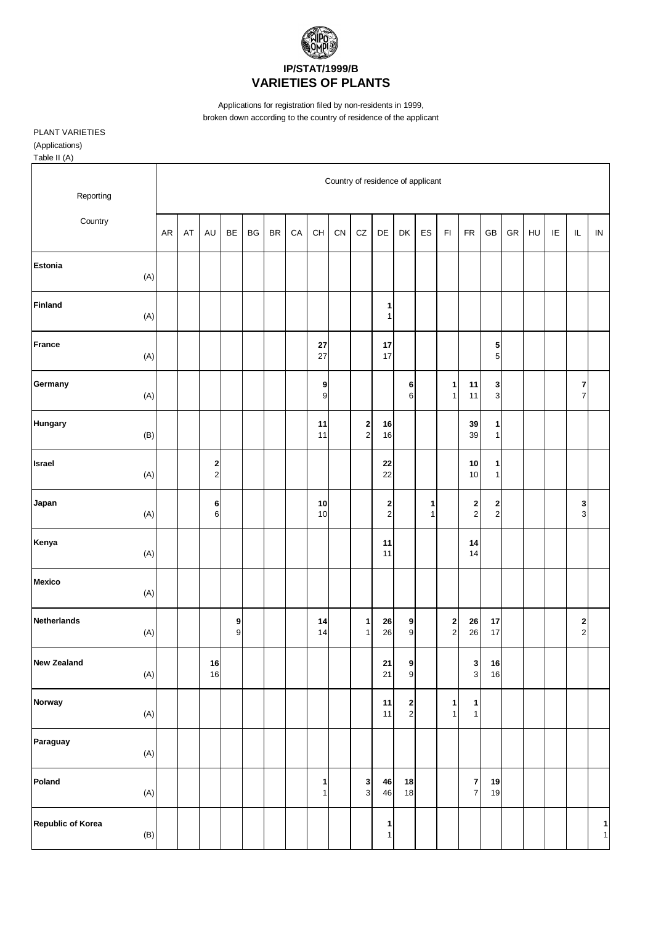

Applications for registration filed by non-residents in 1999,

broken down according to the country of residence of the applicant

PLANT VARIETIES

(Applications)

Table II (A) Country of residence of applicant Reporting **Country** AR | AT | AU | BE | BG | BR | CA | CH | CN | CZ | DE | DK | ES | FI | FR | GB | GR | HU | IE | IL | IN **Estonia** (A) **Finland 1** (A) | | | | | | | | | | 1 **France 27 17 5** (A) | | | | | | | | | 27 | | 17 | | | | | 5 **Germany 9 6 1 11 3 7** (A) | | | | | | | 9 | | | 6 | 1 | 11 | 3 | | | 7 **Hungary 11 2 16 39 1** (B) | | | | | | | 11 | 2 | 16 | | | | 39 | 1 **Israel 2 22 10 1** (A) | | 2 | | | | | | | | 22 | | | 10 | 1 **Japan 6 10 2 1 2 2 3** (A) | | 6 | | | | 10 | | 2 | 1 | 2 | 2 | | | 3 **Kenya 11 14** (A) | | | | | | | | | | 11 | | | 14 **Mexico** (A) **Netherlands 9 14 1 26 9 2 26 17 2** (A) | | | 9 | | | 14 | 1 | 26 | 9 | | 2 | 26 | 17 | | | | | 2 **New Zealand 16 21 9 3 16** (A) | | 16 | | | | | | | | | 21 | 9 | | | 3 | 16 **Norway 11 2 1 1** (A) | | | | | | | | | | 11 | 2 | 1 | 1 **Paraguay** (A) **Poland 1 3 46 18 7 19** (A) | | | | | | 1| | 3| 46| 18| | | 7| 19 **Republic of Korea 1 1** (B) 1 1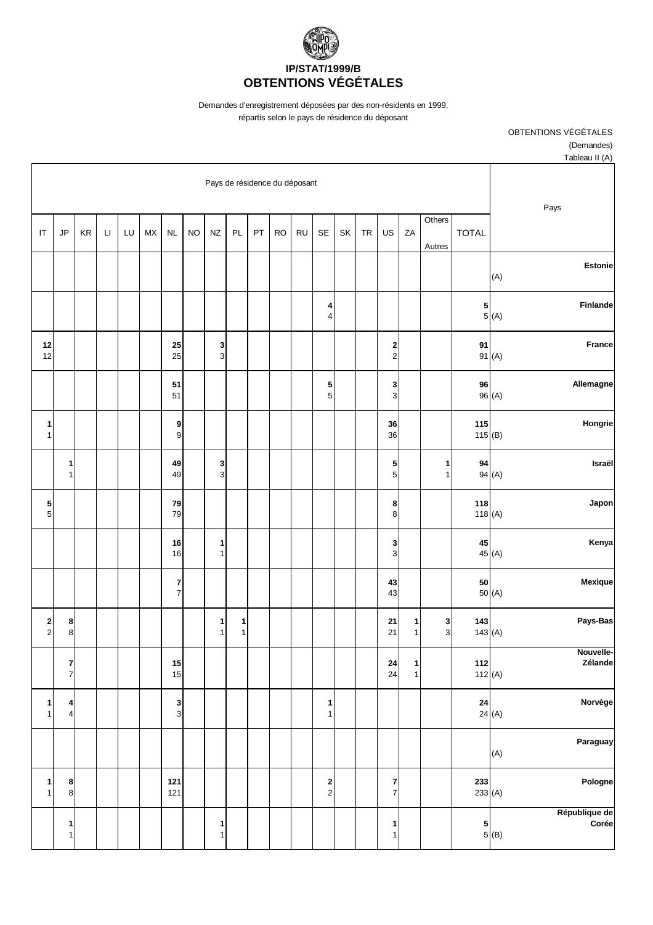

Demandes d'enregistrement déposées par des non-résidents en 1999,

répartis selon le pays de résidence du déposant

OBTENTIONS VÉGÉTALES

(Demandes)

| Tableau II (A)                                                               |                  |                               |                             |                                                    |           |    |                                       |           |           |    |                   |                                |           |                                |           |    |        |    |                              |                              |
|------------------------------------------------------------------------------|------------------|-------------------------------|-----------------------------|----------------------------------------------------|-----------|----|---------------------------------------|-----------|-----------|----|-------------------|--------------------------------|-----------|--------------------------------|-----------|----|--------|----|------------------------------|------------------------------|
| Pays                                                                         |                  | Pays de résidence du déposant |                             |                                                    |           |    |                                       |           |           |    |                   |                                |           |                                |           |    |        |    |                              |                              |
|                                                                              | <b>TOTAL</b>     | Others<br>Autres              | ZA                          | US                                                 | <b>TR</b> | SK | SE                                    | <b>RU</b> | <b>RO</b> | PT | PL                | $N\!Z$                         | <b>NO</b> | $\sf NL$                       | <b>MX</b> | LU | $\Box$ | KR | JP                           | $\mathsf{I}\mathsf{T}$       |
| <b>Estonie</b><br>(A)                                                        |                  |                               |                             |                                                    |           |    |                                       |           |           |    |                   |                                |           |                                |           |    |        |    |                              |                              |
| Finlande<br>$\begin{array}{c c}\n5 & \\ 6 & \\ \end{array}$                  |                  |                               |                             |                                                    |           |    | 4<br>$\overline{\mathbf{4}}$          |           |           |    |                   |                                |           |                                |           |    |        |    |                              |                              |
| <b>France</b><br>91(A)                                                       | 91               |                               |                             | $\overline{\mathbf{c}}$<br>$\overline{\mathbf{c}}$ |           |    |                                       |           |           |    |                   | 3<br>$\ensuremath{\mathsf{3}}$ |           | 25<br>25                       |           |    |        |    |                              | $12$<br>12                   |
| Allemagne<br>96(A)                                                           | 96               |                               |                             | 3<br>$\ensuremath{\mathsf{3}}$                     |           |    | 5<br>$\sqrt{5}$                       |           |           |    |                   |                                |           | 51<br>51                       |           |    |        |    |                              |                              |
| Hongrie                                                                      | 115<br>115(B)    |                               |                             | 36<br>36                                           |           |    |                                       |           |           |    |                   |                                |           | 9<br>9                         |           |    |        |    |                              | 1<br>$\mathbf{1}$            |
| Israël<br>94(A)                                                              | 94               | 1<br>$\mathbf{1}$             |                             | 5<br>$\sqrt{5}$                                    |           |    |                                       |           |           |    |                   | 3<br>$\ensuremath{\mathsf{3}}$ |           | 49<br>49                       |           |    |        |    | 1<br>$\mathbf{1}$            |                              |
| Japon                                                                        | 118<br>118(A)    |                               |                             | 8<br>$\bf8$                                        |           |    |                                       |           |           |    |                   |                                |           | 79<br>79                       |           |    |        |    |                              | ${\bf 5}$<br>$\sqrt{5}$      |
| Kenya<br>45 (A)                                                              | 45               |                               |                             | 3<br>$\mathsf 3$                                   |           |    |                                       |           |           |    |                   | 1<br>$\mathbf{1}$              |           | 16<br>16                       |           |    |        |    |                              |                              |
| Mexique<br>50 (A)                                                            | 50               |                               |                             | 43<br>43                                           |           |    |                                       |           |           |    |                   |                                |           | 7<br>$\overline{7}$            |           |    |        |    |                              |                              |
| Pays-Bas                                                                     | 143<br>143(A)    | $\mathbf{3}$<br>$\mathbf{3}$  | 1<br>$\mathbf{1}$           | 21<br>21                                           |           |    |                                       |           |           |    | 1<br>$\mathbf{1}$ | 1<br>$\mathbf{1}$              |           |                                |           |    |        |    | 8<br>$\bf 8$                 | $\mathbf{2}$<br>$\mathbf{2}$ |
| Nouvelle-<br>Zélande                                                         | 112<br>112 $(A)$ |                               | $\mathbf 1$<br>$\mathbf{1}$ | ${\bf 24}$<br>24                                   |           |    |                                       |           |           |    |                   |                                |           | 15<br>15                       |           |    |        |    | 7<br>$\overline{7}$          |                              |
| Norvège<br><b>24</b><br>24 (A)                                               |                  |                               |                             |                                                    |           |    | 1<br>$\mathbf{1}$                     |           |           |    |                   |                                |           | 3<br>$\ensuremath{\mathsf{3}}$ |           |    |        |    | 4<br>$\overline{\mathbf{4}}$ | $\mathbf{1}$<br>$\mathbf{1}$ |
| Paraguay<br>(A)                                                              |                  |                               |                             |                                                    |           |    |                                       |           |           |    |                   |                                |           |                                |           |    |        |    |                              |                              |
| Pologne                                                                      | 233<br>233 $(A)$ |                               |                             | $\overline{\mathbf{r}}$<br>$\overline{7}$          |           |    | $\begin{array}{c} 2 \\ 2 \end{array}$ |           |           |    |                   |                                |           | 121<br>121                     |           |    |        |    | 8<br>$\bf8$                  | $\mathbf{1}$<br>$\mathbf{1}$ |
| République de<br>.<br>Corée<br>$\begin{bmatrix} 5 \\ 5 \\ (B) \end{bmatrix}$ |                  |                               |                             | $\mathbf{1}$<br>$\mathbf{1}$                       |           |    |                                       |           |           |    |                   | 1<br>$\mathbf{1}$              |           |                                |           |    |        |    | 1<br>1                       |                              |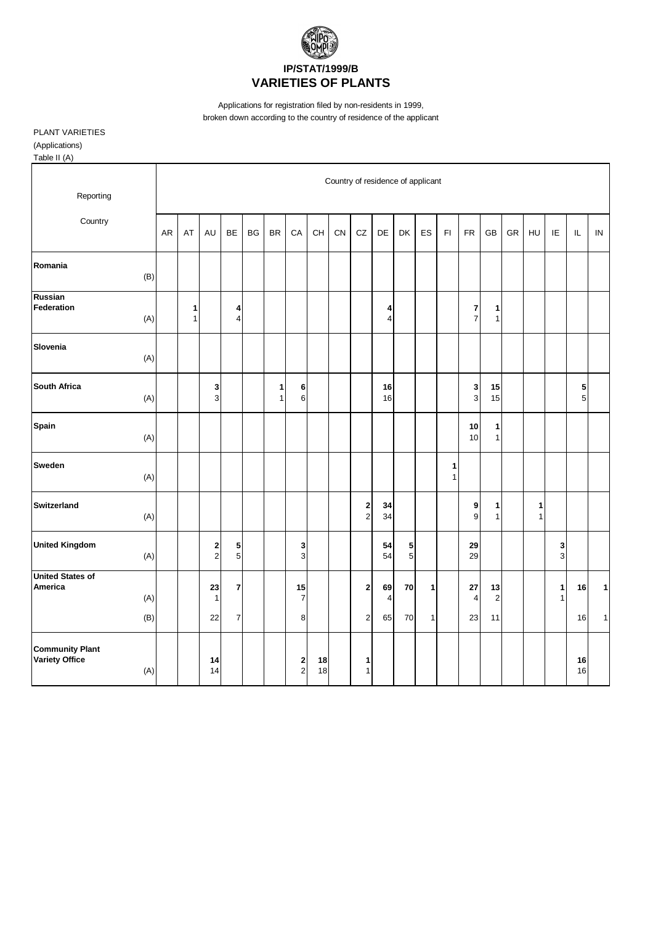

Applications for registration filed by non-residents in 1999,

broken down according to the country of residence of the applicant

PLANT VARIETIES

(Applications)

Table II (A)

| Reporting                                       |            | Country of residence of applicant |                   |                              |                     |           |           |                                |          |    |                                              |          |        |              |                   |                     |                              |    |        |                   |                |                              |
|-------------------------------------------------|------------|-----------------------------------|-------------------|------------------------------|---------------------|-----------|-----------|--------------------------------|----------|----|----------------------------------------------|----------|--------|--------------|-------------------|---------------------|------------------------------|----|--------|-------------------|----------------|------------------------------|
| Country                                         |            | AR                                | AT                | AU                           | <b>BE</b>           | <b>BG</b> | <b>BR</b> | CA                             | CH       | CN | ${\tt CZ}$                                   | DE       | DK     | ES           | F1                | <b>FR</b>           | GB                           | GR | HU     | IE                | $\mathsf{IL}$  | ${\sf IN}$                   |
| Romania                                         | (B)        |                                   |                   |                              |                     |           |           |                                |          |    |                                              |          |        |              |                   |                     |                              |    |        |                   |                |                              |
| Russian<br>Federation                           | (A)        |                                   | 1<br>$\mathbf{1}$ |                              | 4<br>$\overline{4}$ |           |           |                                |          |    |                                              | 4<br>4   |        |              |                   | 7<br>$\overline{7}$ | 1<br>1                       |    |        |                   |                |                              |
| Slovenia                                        | (A)        |                                   |                   |                              |                     |           |           |                                |          |    |                                              |          |        |              |                   |                     |                              |    |        |                   |                |                              |
| <b>South Africa</b>                             | (A)        |                                   |                   | 3<br>3                       |                     |           | 1<br>1    | 6<br>6                         |          |    |                                              | 16<br>16 |        |              |                   | 3<br>3              | 15<br>15                     |    |        |                   | 5<br>5         |                              |
| Spain                                           | (A)        |                                   |                   |                              |                     |           |           |                                |          |    |                                              |          |        |              |                   | 10<br>10            | $\mathbf{1}$<br>$\mathbf{1}$ |    |        |                   |                |                              |
| <b>Sweden</b>                                   | (A)        |                                   |                   |                              |                     |           |           |                                |          |    |                                              |          |        |              | 1<br>$\mathbf{1}$ |                     |                              |    |        |                   |                |                              |
| <b>Switzerland</b>                              | (A)        |                                   |                   |                              |                     |           |           |                                |          |    | 2<br>$\overline{c}$                          | 34<br>34 |        |              |                   | 9<br>$\mathsf 9$    | 1<br>1                       |    | 1<br>1 |                   |                |                              |
| <b>United Kingdom</b>                           | (A)        |                                   |                   | 2<br>$\overline{\mathbf{c}}$ | 5<br>5              |           |           | 3<br>$\ensuremath{\mathsf{3}}$ |          |    |                                              | 54<br>54 | 5<br>5 |              |                   | 29<br>29            |                              |    |        | 3<br>3            |                |                              |
| <b>United States of</b><br>America              | (A)        |                                   |                   | 23<br>1<br>22                | 7                   |           |           | 15<br>$\overline{7}$<br>8      |          |    | $\overline{\mathbf{2}}$                      | 69<br>4  | 70     | 1            |                   | 27<br>4<br>23       | 13<br>$\overline{c}$<br>11   |    |        | $\mathbf{1}$<br>1 | 16             | $\mathbf{1}$<br>$\mathbf{1}$ |
| <b>Community Plant</b><br><b>Variety Office</b> | (B)<br>(A) |                                   |                   | 14<br>14                     | $\overline{7}$      |           |           | 2<br>$\mathbf 2$               | 18<br>18 |    | $\overline{\mathbf{c}}$<br>1<br>$\mathbf{1}$ | 65       | 70     | $\mathbf{1}$ |                   |                     |                              |    |        |                   | 16<br>16<br>16 |                              |